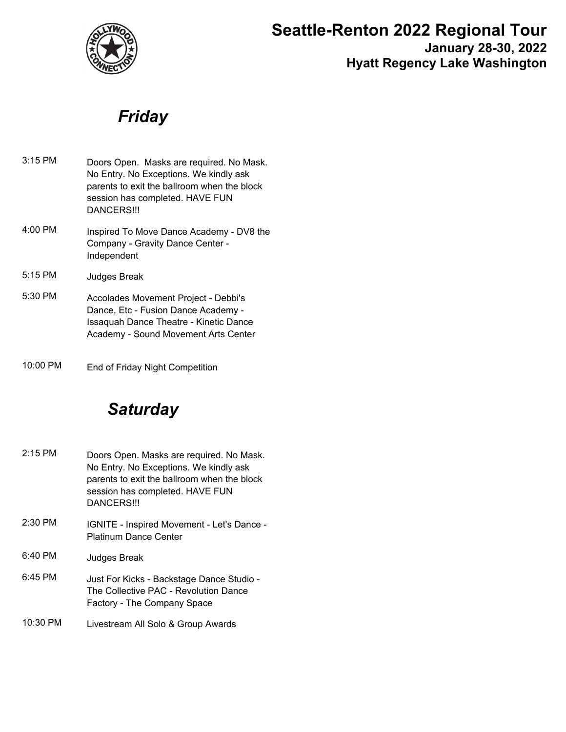

# **Seattle-Renton 2022 Regional Tour**

**January 28-30, 2022 Hyatt Regency Lake Washington**

## *Friday*

| $3:15$ PM | Doors Open. Masks are required. No Mask.<br>No Entry. No Exceptions. We kindly ask<br>parents to exit the ballroom when the block<br>session has completed. HAVE FUN<br>DANCERS!!! |
|-----------|------------------------------------------------------------------------------------------------------------------------------------------------------------------------------------|
| $4:00$ PM | Inspired To Move Dance Academy - DV8 the<br>Company - Gravity Dance Center -<br>Independent                                                                                        |
| $5:15$ PM | <b>Judges Break</b>                                                                                                                                                                |
| 5:30 PM   | Accolades Movement Project - Debbi's<br>Dance, Etc - Fusion Dance Academy -<br>Issaquah Dance Theatre - Kinetic Dance<br>Academy - Sound Movement Arts Center                      |

10:00 PM End of Friday Night Competition

# *Saturday*

- Doors Open. Masks are required. No Mask. No Entry. No Exceptions. We kindly ask parents to exit the ballroom when the block session has completed. HAVE FUN DANCERS!!! 2:15 PM IGNITE - Inspired Movement - Let's Dance - 2:30 PM
- Platinum Dance Center
- 6:40 PM Judges Break
- Just For Kicks Backstage Dance Studio The Collective PAC - Revolution Dance Factory - The Company Space 6:45 PM
- 10:30 PM Livestream All Solo & Group Awards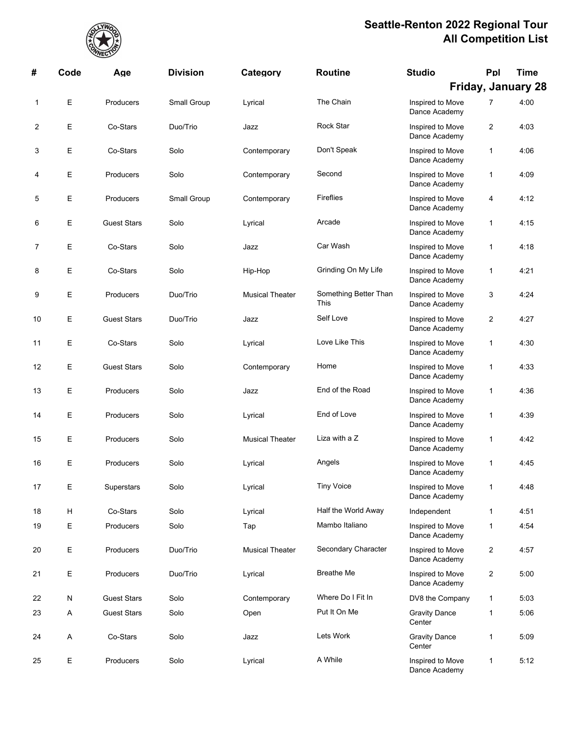

| #  | Code | Age                | <b>Division</b> | Category               | <b>Routine</b>                | <b>Studio</b>                     | Ppl            | <b>Time</b>               |
|----|------|--------------------|-----------------|------------------------|-------------------------------|-----------------------------------|----------------|---------------------------|
|    |      |                    |                 |                        |                               |                                   |                | <b>Friday, January 28</b> |
| 1  | Е    | Producers          | Small Group     | Lyrical                | The Chain                     | Inspired to Move<br>Dance Academy | 7              | 4:00                      |
| 2  | Е    | Co-Stars           | Duo/Trio        | Jazz                   | Rock Star                     | Inspired to Move<br>Dance Academy | $\overline{2}$ | 4:03                      |
| 3  | Е    | Co-Stars           | Solo            | Contemporary           | Don't Speak                   | Inspired to Move<br>Dance Academy | 1              | 4:06                      |
| 4  | Е    | Producers          | Solo            | Contemporary           | Second                        | Inspired to Move<br>Dance Academy | 1              | 4:09                      |
| 5  | Е    | Producers          | Small Group     | Contemporary           | <b>Fireflies</b>              | Inspired to Move<br>Dance Academy | 4              | 4:12                      |
| 6  | Е    | <b>Guest Stars</b> | Solo            | Lyrical                | Arcade                        | Inspired to Move<br>Dance Academy | 1              | 4:15                      |
| 7  | Е    | Co-Stars           | Solo            | Jazz                   | Car Wash                      | Inspired to Move<br>Dance Academy | 1              | 4:18                      |
| 8  | Е    | Co-Stars           | Solo            | Hip-Hop                | Grinding On My Life           | Inspired to Move<br>Dance Academy | 1              | 4:21                      |
| 9  | Е    | Producers          | Duo/Trio        | <b>Musical Theater</b> | Something Better Than<br>This | Inspired to Move<br>Dance Academy | 3              | 4:24                      |
| 10 | Е    | <b>Guest Stars</b> | Duo/Trio        | Jazz                   | Self Love                     | Inspired to Move<br>Dance Academy | $\overline{2}$ | 4:27                      |
| 11 | Е    | Co-Stars           | Solo            | Lyrical                | Love Like This                | Inspired to Move<br>Dance Academy | 1              | 4:30                      |
| 12 | Е    | <b>Guest Stars</b> | Solo            | Contemporary           | Home                          | Inspired to Move<br>Dance Academy | $\mathbf{1}$   | 4:33                      |
| 13 | Е    | Producers          | Solo            | Jazz                   | End of the Road               | Inspired to Move<br>Dance Academy | 1              | 4:36                      |
| 14 | Е    | Producers          | Solo            | Lyrical                | End of Love                   | Inspired to Move<br>Dance Academy | 1              | 4:39                      |
| 15 | Е    | Producers          | Solo            | <b>Musical Theater</b> | Liza with a Z                 | Inspired to Move<br>Dance Academy | 1              | 4:42                      |
| 16 | Е    | Producers          | Solo            | Lyrical                | Angels                        | Inspired to Move<br>Dance Academy | 1              | 4:45                      |
| 17 | Е    | Superstars         | Solo            | Lyrical                | <b>Tiny Voice</b>             | Inspired to Move<br>Dance Academy | $\mathbf{1}$   | 4:48                      |
| 18 | H    | Co-Stars           | Solo            | Lyrical                | Half the World Away           | Independent                       | 1              | 4:51                      |
| 19 | Е    | Producers          | Solo            | Tap                    | Mambo Italiano                | Inspired to Move<br>Dance Academy | 1              | 4:54                      |
| 20 | Е    | Producers          | Duo/Trio        | <b>Musical Theater</b> | Secondary Character           | Inspired to Move<br>Dance Academy | $\overline{2}$ | 4:57                      |
| 21 | Е    | Producers          | Duo/Trio        | Lyrical                | <b>Breathe Me</b>             | Inspired to Move<br>Dance Academy | $\overline{2}$ | 5:00                      |
| 22 | N    | <b>Guest Stars</b> | Solo            | Contemporary           | Where Do I Fit In             | DV8 the Company                   | $\mathbf{1}$   | 5:03                      |
| 23 | A    | <b>Guest Stars</b> | Solo            | Open                   | Put It On Me                  | <b>Gravity Dance</b><br>Center    | 1              | 5:06                      |
| 24 | A    | Co-Stars           | Solo            | Jazz                   | Lets Work                     | <b>Gravity Dance</b><br>Center    | 1              | 5:09                      |
| 25 | Е    | Producers          | Solo            | Lyrical                | A While                       | Inspired to Move<br>Dance Academy | $\mathbf{1}$   | 5:12                      |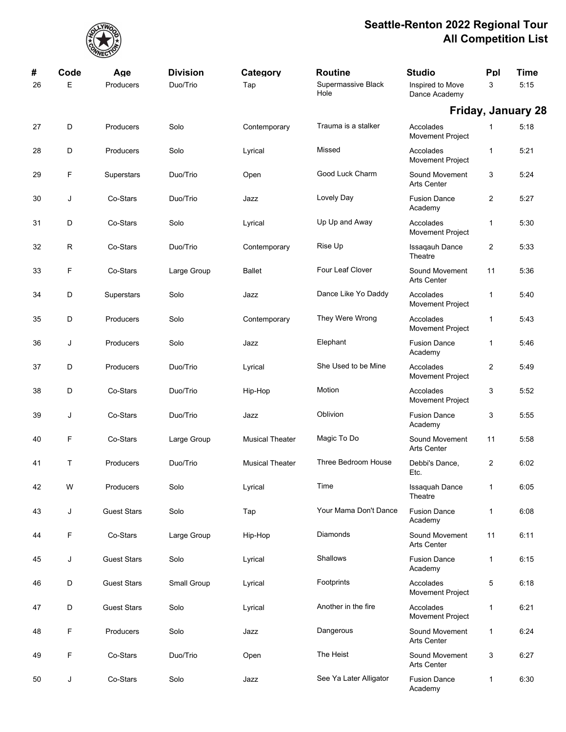

| #<br>26 | Code<br>Е | Age<br>Producers   | <b>Division</b><br>Duo/Trio | Category<br>Tap        | <b>Routine</b><br>Supermassive Black<br>Hole | <b>Studio</b><br>Inspired to Move<br>Dance Academy | Ppl<br>3       | <b>Time</b><br>5:15       |
|---------|-----------|--------------------|-----------------------------|------------------------|----------------------------------------------|----------------------------------------------------|----------------|---------------------------|
|         |           |                    |                             |                        |                                              |                                                    |                | <b>Friday, January 28</b> |
| 27      | D         | Producers          | Solo                        | Contemporary           | Trauma is a stalker                          | Accolades<br><b>Movement Project</b>               | 1              | 5:18                      |
| 28      | D         | Producers          | Solo                        | Lyrical                | Missed                                       | Accolades<br>Movement Project                      | 1              | 5:21                      |
| 29      | F         | Superstars         | Duo/Trio                    | Open                   | Good Luck Charm                              | Sound Movement<br><b>Arts Center</b>               | 3              | 5:24                      |
| 30      | J         | Co-Stars           | Duo/Trio                    | Jazz                   | Lovely Day                                   | <b>Fusion Dance</b><br>Academy                     | $\overline{c}$ | 5:27                      |
| 31      | D         | Co-Stars           | Solo                        | Lyrical                | Up Up and Away                               | Accolades<br>Movement Project                      | 1              | 5:30                      |
| 32      | R         | Co-Stars           | Duo/Trio                    | Contemporary           | Rise Up                                      | <b>Issagauh Dance</b><br>Theatre                   | 2              | 5:33                      |
| 33      | F         | Co-Stars           | Large Group                 | <b>Ballet</b>          | Four Leaf Clover                             | Sound Movement<br>Arts Center                      | 11             | 5:36                      |
| 34      | D         | Superstars         | Solo                        | Jazz                   | Dance Like Yo Daddy                          | Accolades<br><b>Movement Project</b>               | 1              | 5:40                      |
| 35      | D         | Producers          | Solo                        | Contemporary           | They Were Wrong                              | Accolades<br>Movement Project                      | 1              | 5:43                      |
| 36      | J         | Producers          | Solo                        | Jazz                   | Elephant                                     | <b>Fusion Dance</b><br>Academy                     | 1              | 5:46                      |
| 37      | D         | Producers          | Duo/Trio                    | Lyrical                | She Used to be Mine                          | Accolades<br>Movement Project                      | 2              | 5:49                      |
| 38      | D         | Co-Stars           | Duo/Trio                    | Hip-Hop                | Motion                                       | Accolades<br>Movement Project                      | 3              | 5:52                      |
| 39      | J         | Co-Stars           | Duo/Trio                    | Jazz                   | Oblivion                                     | <b>Fusion Dance</b><br>Academy                     | 3              | 5:55                      |
| 40      | F         | Co-Stars           | Large Group                 | <b>Musical Theater</b> | Magic To Do                                  | Sound Movement<br><b>Arts Center</b>               | 11             | 5:58                      |
| 41      | т         | Producers          | Duo/Trio                    | <b>Musical Theater</b> | Three Bedroom House                          | Debbi's Dance,<br>Etc.                             | 2              | 6:02                      |
| 42      | W         | Producers          | Solo                        | Lyrical                | Time                                         | <b>Issaquah Dance</b><br>Theatre                   | 1              | 6:05                      |
| 43      | J         | <b>Guest Stars</b> | Solo                        | Tap                    | Your Mama Don't Dance                        | <b>Fusion Dance</b><br>Academy                     | 1              | 6:08                      |
| 44      | F         | Co-Stars           | Large Group                 | Hip-Hop                | Diamonds                                     | Sound Movement<br><b>Arts Center</b>               | 11             | 6:11                      |
| 45      | J         | <b>Guest Stars</b> | Solo                        | Lyrical                | <b>Shallows</b>                              | <b>Fusion Dance</b><br>Academy                     | 1              | 6:15                      |
| 46      | D         | <b>Guest Stars</b> | Small Group                 | Lyrical                | Footprints                                   | Accolades<br><b>Movement Project</b>               | 5              | 6:18                      |
| 47      | D         | <b>Guest Stars</b> | Solo                        | Lyrical                | Another in the fire                          | Accolades<br>Movement Project                      | 1              | 6:21                      |
| 48      | F         | Producers          | Solo                        | Jazz                   | Dangerous                                    | Sound Movement<br>Arts Center                      | 1              | 6:24                      |
| 49      | F         | Co-Stars           | Duo/Trio                    | Open                   | The Heist                                    | Sound Movement<br>Arts Center                      | 3              | 6:27                      |
| 50      | J         | Co-Stars           | Solo                        | Jazz                   | See Ya Later Alligator                       | <b>Fusion Dance</b><br>Academy                     | 1              | 6:30                      |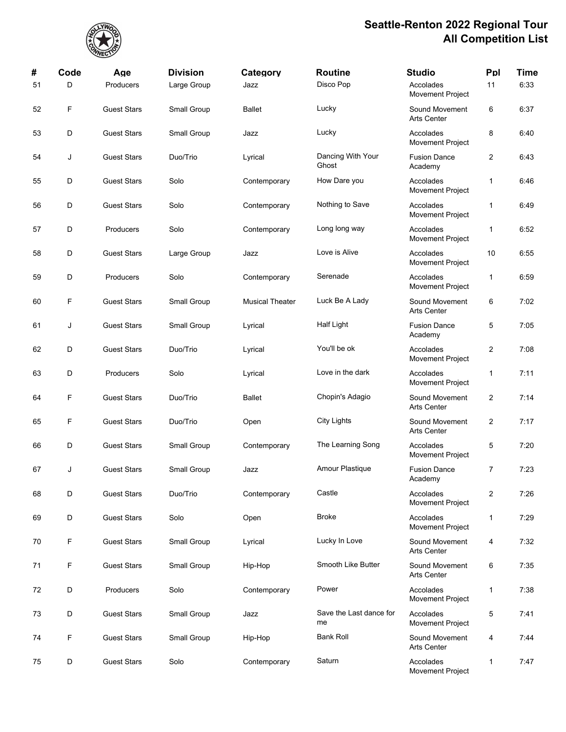

| #  | Code | Age                | <b>Division</b> | Category               | <b>Routine</b>                | <b>Studio</b>                        | Ppl                     | <b>Time</b> |
|----|------|--------------------|-----------------|------------------------|-------------------------------|--------------------------------------|-------------------------|-------------|
| 51 | D    | Producers          | Large Group     | Jazz                   | Disco Pop                     | Accolades<br><b>Movement Project</b> | 11                      | 6:33        |
| 52 | F    | <b>Guest Stars</b> | Small Group     | <b>Ballet</b>          | Lucky                         | Sound Movement<br><b>Arts Center</b> | 6                       | 6:37        |
| 53 | D    | <b>Guest Stars</b> | Small Group     | Jazz                   | Lucky                         | Accolades<br>Movement Project        | 8                       | 6:40        |
| 54 | J    | <b>Guest Stars</b> | Duo/Trio        | Lyrical                | Dancing With Your<br>Ghost    | <b>Fusion Dance</b><br>Academy       | $\overline{\mathbf{c}}$ | 6:43        |
| 55 | D    | <b>Guest Stars</b> | Solo            | Contemporary           | How Dare you                  | Accolades<br>Movement Project        | $\mathbf{1}$            | 6:46        |
| 56 | D    | <b>Guest Stars</b> | Solo            | Contemporary           | Nothing to Save               | Accolades<br>Movement Project        | 1                       | 6:49        |
| 57 | D    | Producers          | Solo            | Contemporary           | Long long way                 | Accolades<br>Movement Project        | $\mathbf{1}$            | 6:52        |
| 58 | D    | <b>Guest Stars</b> | Large Group     | Jazz                   | Love is Alive                 | Accolades<br>Movement Project        | 10                      | 6:55        |
| 59 | D    | Producers          | Solo            | Contemporary           | Serenade                      | Accolades<br>Movement Project        | $\mathbf{1}$            | 6:59        |
| 60 | F    | <b>Guest Stars</b> | Small Group     | <b>Musical Theater</b> | Luck Be A Lady                | Sound Movement<br><b>Arts Center</b> | 6                       | 7:02        |
| 61 | J    | <b>Guest Stars</b> | Small Group     | Lyrical                | Half Light                    | <b>Fusion Dance</b><br>Academy       | 5                       | 7:05        |
| 62 | D    | <b>Guest Stars</b> | Duo/Trio        | Lyrical                | You'll be ok                  | Accolades<br>Movement Project        | $\overline{c}$          | 7:08        |
| 63 | D    | Producers          | Solo            | Lyrical                | Love in the dark              | Accolades<br>Movement Project        | $\mathbf{1}$            | 7:11        |
| 64 | F    | <b>Guest Stars</b> | Duo/Trio        | <b>Ballet</b>          | Chopin's Adagio               | Sound Movement<br><b>Arts Center</b> | $\overline{c}$          | 7:14        |
| 65 | F    | <b>Guest Stars</b> | Duo/Trio        | Open                   | City Lights                   | Sound Movement<br><b>Arts Center</b> | $\overline{c}$          | 7:17        |
| 66 | D    | <b>Guest Stars</b> | Small Group     | Contemporary           | The Learning Song             | Accolades<br>Movement Project        | 5                       | 7:20        |
| 67 | J    | <b>Guest Stars</b> | Small Group     | Jazz                   | Amour Plastique               | <b>Fusion Dance</b><br>Academy       | 7                       | 7:23        |
| 68 | D    | <b>Guest Stars</b> | Duo/Trio        | Contemporary           | Castle                        | Accolades<br>Movement Project        | $\overline{c}$          | 7:26        |
| 69 | D    | <b>Guest Stars</b> | Solo            | Open                   | <b>Broke</b>                  | Accolades<br>Movement Project        | $\mathbf{1}$            | 7:29        |
| 70 | F    | <b>Guest Stars</b> | Small Group     | Lyrical                | Lucky In Love                 | Sound Movement<br><b>Arts Center</b> | 4                       | 7:32        |
| 71 | F    | <b>Guest Stars</b> | Small Group     | Hip-Hop                | Smooth Like Butter            | Sound Movement<br>Arts Center        | 6                       | 7:35        |
| 72 | D    | Producers          | Solo            | Contemporary           | Power                         | Accolades<br>Movement Project        | 1                       | 7:38        |
| 73 | D    | <b>Guest Stars</b> | Small Group     | Jazz                   | Save the Last dance for<br>me | Accolades<br>Movement Project        | 5                       | 7:41        |
| 74 | F    | <b>Guest Stars</b> | Small Group     | Hip-Hop                | <b>Bank Roll</b>              | Sound Movement<br><b>Arts Center</b> | 4                       | 7:44        |
| 75 | D    | <b>Guest Stars</b> | Solo            | Contemporary           | Saturn                        | Accolades<br>Movement Project        | $\mathbf{1}$            | 7:47        |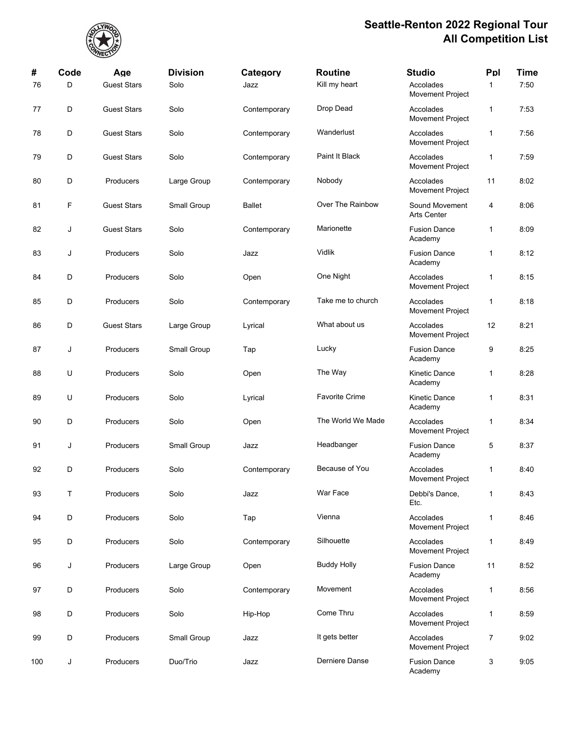

| #   | Code | Age                | <b>Division</b> | Category      | <b>Routine</b>        | <b>Studio</b>                        | Ppl            | <b>Time</b> |
|-----|------|--------------------|-----------------|---------------|-----------------------|--------------------------------------|----------------|-------------|
| 76  | D    | <b>Guest Stars</b> | Solo            | Jazz          | Kill my heart         | Accolades<br>Movement Project        | $\mathbf{1}$   | 7:50        |
| 77  | D    | <b>Guest Stars</b> | Solo            | Contemporary  | Drop Dead             | Accolades<br><b>Movement Project</b> | $\mathbf{1}$   | 7:53        |
| 78  | D    | <b>Guest Stars</b> | Solo            | Contemporary  | Wanderlust            | Accolades<br>Movement Project        | $\mathbf{1}$   | 7:56        |
| 79  | D    | <b>Guest Stars</b> | Solo            | Contemporary  | Paint It Black        | Accolades<br>Movement Project        | $\mathbf{1}$   | 7:59        |
| 80  | D    | Producers          | Large Group     | Contemporary  | Nobody                | Accolades<br>Movement Project        | 11             | 8:02        |
| 81  | F    | <b>Guest Stars</b> | Small Group     | <b>Ballet</b> | Over The Rainbow      | Sound Movement<br>Arts Center        | 4              | 8:06        |
| 82  | J    | <b>Guest Stars</b> | Solo            | Contemporary  | Marionette            | <b>Fusion Dance</b><br>Academy       | 1              | 8:09        |
| 83  | J    | Producers          | Solo            | Jazz          | Vidlik                | <b>Fusion Dance</b><br>Academy       | $\mathbf{1}$   | 8:12        |
| 84  | D    | Producers          | Solo            | Open          | One Night             | Accolades<br>Movement Project        | $\mathbf{1}$   | 8:15        |
| 85  | D    | Producers          | Solo            | Contemporary  | Take me to church     | Accolades<br>Movement Project        | $\mathbf{1}$   | 8:18        |
| 86  | D    | <b>Guest Stars</b> | Large Group     | Lyrical       | What about us         | Accolades<br>Movement Project        | 12             | 8:21        |
| 87  | J    | Producers          | Small Group     | Tap           | Lucky                 | <b>Fusion Dance</b><br>Academy       | 9              | 8:25        |
| 88  | U    | Producers          | Solo            | Open          | The Way               | Kinetic Dance<br>Academy             | 1              | 8:28        |
| 89  | U    | Producers          | Solo            | Lyrical       | <b>Favorite Crime</b> | Kinetic Dance<br>Academy             | $\mathbf{1}$   | 8:31        |
| 90  | D    | Producers          | Solo            | Open          | The World We Made     | Accolades<br><b>Movement Project</b> | $\mathbf{1}$   | 8:34        |
| 91  | J    | Producers          | Small Group     | Jazz          | Headbanger            | <b>Fusion Dance</b><br>Academy       | 5              | 8:37        |
| 92  | D    | Producers          | Solo            | Contemporary  | Because of You        | Accolades<br>Movement Project        | 1              | 8:40        |
| 93  | Τ    | Producers          | Solo            | Jazz          | War Face              | Debbi's Dance,<br>Etc.               | $\mathbf{1}$   | 8:43        |
| 94  | D    | Producers          | Solo            | Tap           | Vienna                | Accolades<br>Movement Project        | $\mathbf{1}$   | 8:46        |
| 95  | D    | Producers          | Solo            | Contemporary  | Silhouette            | Accolades<br><b>Movement Project</b> | $\mathbf{1}$   | 8:49        |
| 96  | J    | Producers          | Large Group     | Open          | <b>Buddy Holly</b>    | <b>Fusion Dance</b><br>Academy       | 11             | 8:52        |
| 97  | D    | Producers          | Solo            | Contemporary  | Movement              | Accolades<br>Movement Project        | $\mathbf{1}$   | 8:56        |
| 98  | D    | Producers          | Solo            | Hip-Hop       | Come Thru             | Accolades<br>Movement Project        | $\mathbf{1}$   | 8:59        |
| 99  | D    | Producers          | Small Group     | Jazz          | It gets better        | Accolades<br>Movement Project        | $\overline{7}$ | 9:02        |
| 100 | J    | Producers          | Duo/Trio        | Jazz          | Derniere Danse        | <b>Fusion Dance</b><br>Academy       | 3              | 9:05        |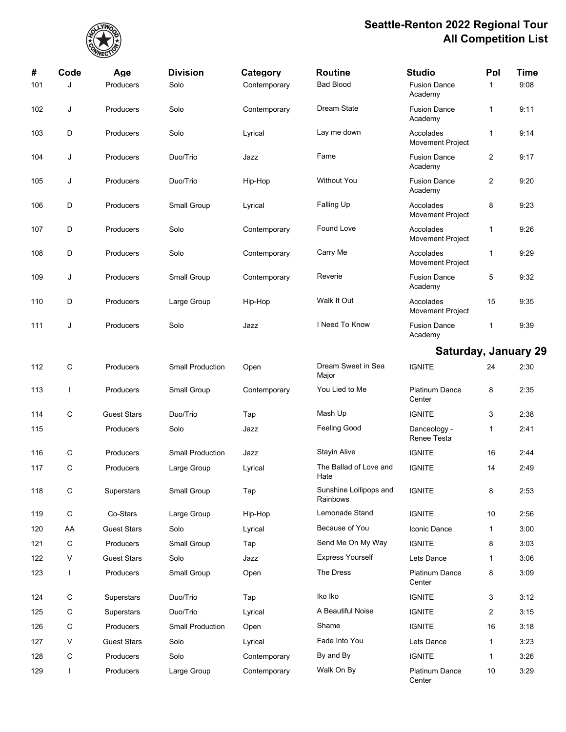

| #   | Code         | Age                | <b>Division</b>         | Category     | <b>Routine</b>                     | <b>Studio</b>                        | Ppl            | <b>Time</b> |
|-----|--------------|--------------------|-------------------------|--------------|------------------------------------|--------------------------------------|----------------|-------------|
| 101 | J            | Producers          | Solo                    | Contemporary | <b>Bad Blood</b>                   | <b>Fusion Dance</b><br>Academy       | 1              | 9:08        |
| 102 | J            | Producers          | Solo                    | Contemporary | Dream State                        | <b>Fusion Dance</b><br>Academy       | 1              | 9:11        |
| 103 | D            | Producers          | Solo                    | Lyrical      | Lay me down                        | Accolades<br>Movement Project        | 1              | 9:14        |
| 104 | J            | Producers          | Duo/Trio                | Jazz         | Fame                               | <b>Fusion Dance</b><br>Academy       | $\overline{2}$ | 9:17        |
| 105 | J            | Producers          | Duo/Trio                | Hip-Hop      | <b>Without You</b>                 | <b>Fusion Dance</b><br>Academy       | 2              | 9:20        |
| 106 | D            | Producers          | Small Group             | Lyrical      | Falling Up                         | Accolades<br>Movement Project        | 8              | 9:23        |
| 107 | D            | Producers          | Solo                    | Contemporary | Found Love                         | Accolades<br>Movement Project        | 1              | 9:26        |
| 108 | D            | Producers          | Solo                    | Contemporary | Carry Me                           | Accolades<br><b>Movement Project</b> | 1              | 9:29        |
| 109 | J            | Producers          | Small Group             | Contemporary | Reverie                            | <b>Fusion Dance</b><br>Academy       | 5              | 9:32        |
| 110 | D            | Producers          | Large Group             | Hip-Hop      | Walk It Out                        | Accolades<br><b>Movement Project</b> | 15             | 9:35        |
| 111 | J            | Producers          | Solo                    | Jazz         | I Need To Know                     | <b>Fusion Dance</b><br>Academy       | 1              | 9:39        |
|     |              |                    |                         |              |                                    | <b>Saturday, January 29</b>          |                |             |
| 112 | С            | Producers          | <b>Small Production</b> | Open         | Dream Sweet in Sea<br>Major        | <b>IGNITE</b>                        | 24             | 2:30        |
| 113 | T            | Producers          | Small Group             | Contemporary | You Lied to Me                     | <b>Platinum Dance</b><br>Center      | 8              | 2:35        |
| 114 | C            | <b>Guest Stars</b> | Duo/Trio                | Tap          | Mash Up                            | <b>IGNITE</b>                        | 3              | 2:38        |
| 115 |              | Producers          | Solo                    | Jazz         | <b>Feeling Good</b>                | Danceology -<br>Renee Testa          | 1              | 2:41        |
| 116 | С            | Producers          | <b>Small Production</b> | Jazz         | <b>Stayin Alive</b>                | <b>IGNITE</b>                        | 16             | 2:44        |
| 117 | С            | Producers          | Large Group             | Lyrical      | The Ballad of Love and<br>Hate     | <b>IGNITE</b>                        | 14             | 2:49        |
| 118 | С            | <b>Superstars</b>  | Small Group             | Tap          | Sunshine Lollipops and<br>Rainbows | <b>IGNITE</b>                        | 8              | 2:53        |
| 119 | С            | Co-Stars           | Large Group             | Hip-Hop      | Lemonade Stand                     | <b>IGNITE</b>                        | 10             | 2:56        |
| 120 | AA           | <b>Guest Stars</b> | Solo                    | Lyrical      | Because of You                     | Iconic Dance                         | 1              | 3.00        |
| 121 | С            | Producers          | Small Group             | Tap          | Send Me On My Way                  | <b>IGNITE</b>                        | 8              | 3:03        |
| 122 | V            | <b>Guest Stars</b> | Solo                    | Jazz         | <b>Express Yourself</b>            | Lets Dance                           | 1              | 3:06        |
| 123 | $\mathbf{I}$ | Producers          | Small Group             | Open         | The Dress                          | <b>Platinum Dance</b><br>Center      | 8              | 3:09        |
| 124 | С            | Superstars         | Duo/Trio                | Tap          | Iko Iko                            | <b>IGNITE</b>                        | 3              | 3:12        |
| 125 | С            | Superstars         | Duo/Trio                | Lyrical      | A Beautiful Noise                  | <b>IGNITE</b>                        | 2              | 3:15        |
| 126 | С            | Producers          | <b>Small Production</b> | Open         | Shame                              | <b>IGNITE</b>                        | 16             | 3:18        |
| 127 | V            | <b>Guest Stars</b> | Solo                    | Lyrical      | Fade Into You                      | Lets Dance                           | 1              | 3:23        |
| 128 | С            | Producers          | Solo                    | Contemporary | By and By                          | <b>IGNITE</b>                        | 1              | 3:26        |
| 129 | L            | Producers          | Large Group             | Contemporary | Walk On By                         | Platinum Dance<br>Center             | 10             | 3:29        |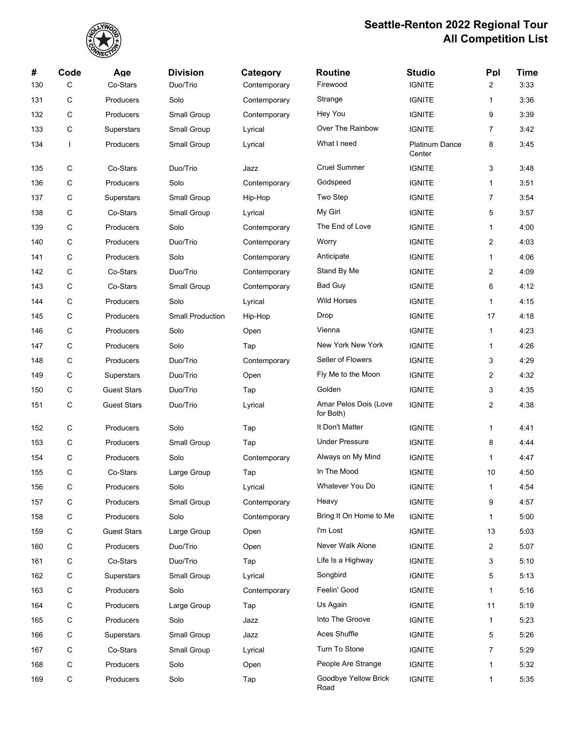

| #   | Code      | Age                | <b>Division</b>         | Category     | <b>Routine</b>                     | <b>Studio</b>                   | Ppl            | <b>Time</b> |
|-----|-----------|--------------------|-------------------------|--------------|------------------------------------|---------------------------------|----------------|-------------|
| 130 | С         | Co-Stars           | Duo/Trio                | Contemporary | Firewood                           | <b>IGNITE</b>                   | 2              | 3:33        |
| 131 | С         | Producers          | Solo                    | Contemporary | Strange                            | <b>IGNITE</b>                   | $\mathbf{1}$   | 3:36        |
| 132 | С         | Producers          | Small Group             | Contemporary | Hey You                            | <b>IGNITE</b>                   | 9              | 3:39        |
| 133 | С         | Superstars         | Small Group             | Lyrical      | Over The Rainbow                   | <b>IGNITE</b>                   | $\overline{7}$ | 3:42        |
| 134 | I         | Producers          | Small Group             | Lyrical      | What I need                        | <b>Platinum Dance</b><br>Center | 8              | 3:45        |
| 135 | С         | Co-Stars           | Duo/Trio                | Jazz         | <b>Cruel Summer</b>                | <b>IGNITE</b>                   | 3              | 3:48        |
| 136 | С         | Producers          | Solo                    | Contemporary | Godspeed                           | <b>IGNITE</b>                   | $\mathbf{1}$   | 3:51        |
| 137 | С         | Superstars         | Small Group             | Hip-Hop      | Two Step                           | <b>IGNITE</b>                   | 7              | 3:54        |
| 138 | С         | Co-Stars           | Small Group             | Lyrical      | My Girl                            | <b>IGNITE</b>                   | 5              | 3:57        |
| 139 | С         | Producers          | Solo                    | Contemporary | The End of Love                    | <b>IGNITE</b>                   | $\mathbf{1}$   | 4:00        |
| 140 | С         | Producers          | Duo/Trio                | Contemporary | Worry                              | <b>IGNITE</b>                   | 2              | 4:03        |
| 141 | С         | Producers          | Solo                    | Contemporary | Anticipate                         | <b>IGNITE</b>                   | $\mathbf{1}$   | 4:06        |
| 142 | С         | Co-Stars           | Duo/Trio                | Contemporary | Stand By Me                        | <b>IGNITE</b>                   | $\overline{c}$ | 4:09        |
| 143 | С         | Co-Stars           | Small Group             | Contemporary | <b>Bad Guy</b>                     | <b>IGNITE</b>                   | 6              | 4:12        |
| 144 | С         | Producers          | Solo                    | Lyrical      | <b>Wild Horses</b>                 | <b>IGNITE</b>                   | $\mathbf{1}$   | 4:15        |
| 145 | С         | Producers          | <b>Small Production</b> | Hip-Hop      | Drop                               | <b>IGNITE</b>                   | 17             | 4:18        |
| 146 | С         | Producers          | Solo                    | Open         | Vienna                             | <b>IGNITE</b>                   | $\mathbf{1}$   | 4:23        |
| 147 | С         | Producers          | Solo                    | Tap          | New York New York                  | <b>IGNITE</b>                   | $\mathbf{1}$   | 4:26        |
| 148 | С         | Producers          | Duo/Trio                | Contemporary | Seller of Flowers                  | <b>IGNITE</b>                   | 3              | 4:29        |
| 149 | С         | Superstars         | Duo/Trio                | Open         | Fly Me to the Moon                 | <b>IGNITE</b>                   | 2              | 4:32        |
| 150 | С         | <b>Guest Stars</b> | Duo/Trio                | Tap          | Golden                             | <b>IGNITE</b>                   | 3              | 4:35        |
| 151 | С         | <b>Guest Stars</b> | Duo/Trio                | Lyrical      | Amar Pelos Dois (Love<br>for Both) | <b>IGNITE</b>                   | 2              | 4:38        |
| 152 | С         | Producers          | Solo                    | Tap          | It Don't Matter                    | <b>IGNITE</b>                   | $\mathbf{1}$   | 4.41        |
| 153 | С         | Producers          | Small Group             | Tap          | <b>Under Pressure</b>              | <b>IGNITE</b>                   | 8              | 4:44        |
| 154 | С         | Producers          | Solo                    | Contemporary | Always on My Mind                  | <b>IGNITE</b>                   | $\mathbf{1}$   | 4:47        |
| 155 | С         | Co-Stars           | Large Group             | Tap          | In The Mood                        | <b>IGNITE</b>                   | 10             | 4:50        |
| 156 | С         | Producers          | Solo                    | Lyrical      | Whatever You Do                    | <b>IGNITE</b>                   | $\mathbf{1}$   | 4:54        |
| 157 | С         | Producers          | Small Group             | Contemporary | Heavy                              | <b>IGNITE</b>                   | 9              | 4:57        |
| 158 | С         | Producers          | Solo                    | Contemporary | Bring It On Home to Me             | <b>IGNITE</b>                   | 1              | 5:00        |
| 159 | ${\bf C}$ | <b>Guest Stars</b> | Large Group             | Open         | I'm Lost                           | <b>IGNITE</b>                   | 13             | 5:03        |
| 160 | С         | Producers          | Duo/Trio                | Open         | Never Walk Alone                   | <b>IGNITE</b>                   | $\overline{c}$ | 5:07        |
| 161 | С         | Co-Stars           | Duo/Trio                | Tap          | Life Is a Highway                  | <b>IGNITE</b>                   | 3              | 5:10        |
| 162 | ${\bf C}$ | <b>Superstars</b>  | Small Group             | Lyrical      | Songbird                           | <b>IGNITE</b>                   | 5              | 5:13        |
| 163 | С         | Producers          | Solo                    | Contemporary | Feelin' Good                       | <b>IGNITE</b>                   | 1              | 5:16        |
| 164 | С         | Producers          | Large Group             | Tap          | Us Again                           | <b>IGNITE</b>                   | 11             | 5:19        |
| 165 | ${\bf C}$ | Producers          | Solo                    | Jazz         | Into The Groove                    | <b>IGNITE</b>                   | $\mathbf{1}$   | 5:23        |
| 166 | С         | Superstars         | Small Group             | Jazz         | Aces Shuffle                       | <b>IGNITE</b>                   | 5              | 5:26        |
| 167 | С         | Co-Stars           | Small Group             | Lyrical      | Turn To Stone                      | <b>IGNITE</b>                   | 7              | 5:29        |
| 168 | ${\bf C}$ | Producers          | Solo                    | Open         | People Are Strange                 | <b>IGNITE</b>                   | $\mathbf{1}$   | 5:32        |
| 169 | С         | Producers          | Solo                    | Tap          | Goodbye Yellow Brick<br>Road       | <b>IGNITE</b>                   | 1              | 5:35        |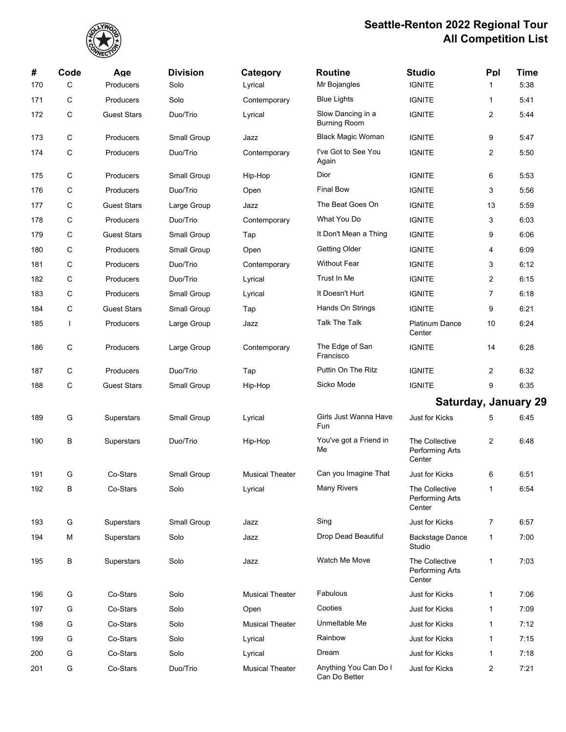

| #   | Code         | Age                | <b>Division</b>    | Category               | <b>Routine</b>                           | <b>Studio</b>                               | Ppl            | <b>Time</b> |
|-----|--------------|--------------------|--------------------|------------------------|------------------------------------------|---------------------------------------------|----------------|-------------|
| 170 | C            | Producers          | Solo               | Lyrical                | Mr Bojangles                             | <b>IGNITE</b>                               | 1              | 5:38        |
| 171 | C            | Producers          | Solo               | Contemporary           | <b>Blue Lights</b>                       | <b>IGNITE</b>                               | 1              | 5:41        |
| 172 | С            | <b>Guest Stars</b> | Duo/Trio           | Lyrical                | Slow Dancing in a<br><b>Burning Room</b> | <b>IGNITE</b>                               | 2              | 5:44        |
| 173 | C            | Producers          | Small Group        | Jazz                   | <b>Black Magic Woman</b>                 | <b>IGNITE</b>                               | 9              | 5:47        |
| 174 | C            | Producers          | Duo/Trio           | Contemporary           | I've Got to See You<br>Again             | <b>IGNITE</b>                               | 2              | 5:50        |
| 175 | С            | Producers          | Small Group        | Hip-Hop                | Dior                                     | <b>IGNITE</b>                               | 6              | 5:53        |
| 176 | С            | Producers          | Duo/Trio           | Open                   | <b>Final Bow</b>                         | <b>IGNITE</b>                               | 3              | 5:56        |
| 177 | C            | <b>Guest Stars</b> | Large Group        | Jazz                   | The Beat Goes On                         | <b>IGNITE</b>                               | 13             | 5:59        |
| 178 | С            | Producers          | Duo/Trio           | Contemporary           | What You Do                              | <b>IGNITE</b>                               | 3              | 6:03        |
| 179 | С            | <b>Guest Stars</b> | Small Group        | Tap                    | It Don't Mean a Thing                    | <b>IGNITE</b>                               | 9              | 6:06        |
| 180 | C            | Producers          | Small Group        | Open                   | Getting Older                            | <b>IGNITE</b>                               | 4              | 6:09        |
| 181 | С            | Producers          | Duo/Trio           | Contemporary           | <b>Without Fear</b>                      | <b>IGNITE</b>                               | 3              | 6:12        |
| 182 | С            | Producers          | Duo/Trio           | Lyrical                | Trust In Me                              | <b>IGNITE</b>                               | 2              | 6:15        |
| 183 | C            | Producers          | Small Group        | Lyrical                | It Doesn't Hurt                          | <b>IGNITE</b>                               | $\overline{7}$ | 6:18        |
| 184 | C            | <b>Guest Stars</b> | Small Group        | Tap                    | Hands On Strings                         | <b>IGNITE</b>                               | 9              | 6:21        |
| 185 | $\mathbf{I}$ | Producers          | Large Group        | Jazz                   | Talk The Talk                            | <b>Platinum Dance</b><br>Center             | 10             | 6:24        |
| 186 | С            | Producers          | Large Group        | Contemporary           | The Edge of San<br>Francisco             | <b>IGNITE</b>                               | 14             | 6:28        |
| 187 | C            | Producers          | Duo/Trio           | Tap                    | Puttin On The Ritz                       | <b>IGNITE</b>                               | 2              | 6:32        |
| 188 | C            | <b>Guest Stars</b> | Small Group        | Hip-Hop                | Sicko Mode                               | <b>IGNITE</b>                               | 9              | 6:35        |
|     |              |                    |                    |                        |                                          | <b>Saturday, January 29</b>                 |                |             |
| 189 | G            | Superstars         | Small Group        | Lyrical                | Girls Just Wanna Have<br>Fun             | Just for Kicks                              | 5              | 6:45        |
| 190 | В            | Superstars         | Duo/Trio           | Hip-Hop                | You've got a Friend in<br>Me             | The Collective<br>Performing Arts<br>Center | 2              | 6:48        |
| 191 | G            | Co-Stars           | <b>Small Group</b> | <b>Musical Theater</b> | Can you Imagine That                     | <b>Just for Kicks</b>                       | 6              | 6:51        |
| 192 | В            | Co-Stars           | Solo               | Lyrical                | Many Rivers                              | The Collective<br>Performing Arts<br>Center | 1              | 6:54        |
| 193 | G            | Superstars         | Small Group        | Jazz                   | Sing                                     | Just for Kicks                              | 7              | 6:57        |
| 194 | М            | Superstars         | Solo               | Jazz                   | Drop Dead Beautiful                      | <b>Backstage Dance</b><br>Studio            | 1              | 7:00        |
| 195 | В            | Superstars         | Solo               | Jazz                   | Watch Me Move                            | The Collective<br>Performing Arts<br>Center | 1              | 7:03        |
| 196 | G            | Co-Stars           | Solo               | <b>Musical Theater</b> | Fabulous                                 | Just for Kicks                              | 1              | 7:06        |
| 197 | G            | Co-Stars           | Solo               | Open                   | Cooties                                  | Just for Kicks                              | 1              | 7:09        |
| 198 | G            | Co-Stars           | Solo               | <b>Musical Theater</b> | Unmeltable Me                            | Just for Kicks                              | 1              | 7:12        |
| 199 | G            | Co-Stars           | Solo               | Lyrical                | Rainbow                                  | Just for Kicks                              | 1              | 7:15        |
| 200 | G            | Co-Stars           | Solo               | Lyrical                | Dream                                    | Just for Kicks                              | 1              | 7:18        |
| 201 | G            | Co-Stars           | Duo/Trio           | <b>Musical Theater</b> | Anything You Can Do I<br>Can Do Better   | Just for Kicks                              | 2              | 7:21        |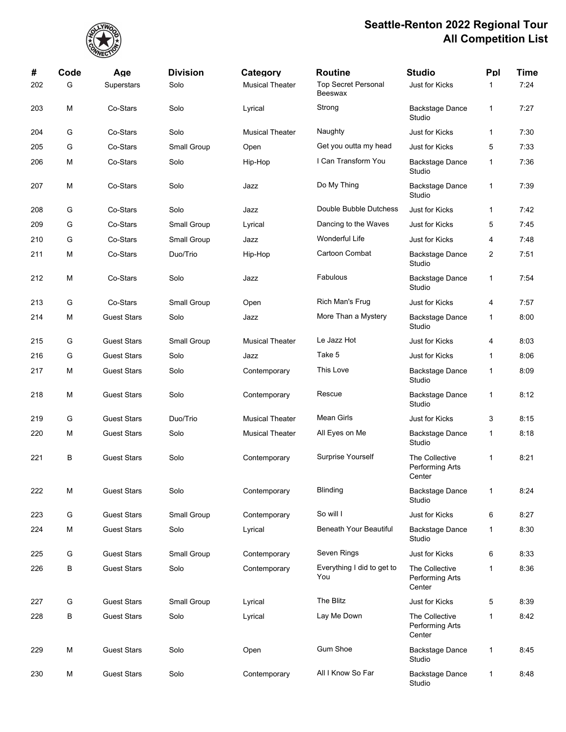

| #   | Code | Age                | <b>Division</b> | Category               | <b>Routine</b>                        | <b>Studio</b>                               | Ppl          | <b>Time</b> |
|-----|------|--------------------|-----------------|------------------------|---------------------------------------|---------------------------------------------|--------------|-------------|
| 202 | G    | Superstars         | Solo            | <b>Musical Theater</b> | <b>Top Secret Personal</b><br>Beeswax | Just for Kicks                              | $\mathbf{1}$ | 7:24        |
| 203 | M    | Co-Stars           | Solo            | Lyrical                | Strong                                | <b>Backstage Dance</b><br>Studio            | 1            | 7:27        |
| 204 | G    | Co-Stars           | Solo            | <b>Musical Theater</b> | Naughty                               | Just for Kicks                              | 1            | 7:30        |
| 205 | G    | Co-Stars           | Small Group     | Open                   | Get you outta my head                 | Just for Kicks                              | 5            | 7:33        |
| 206 | M    | Co-Stars           | Solo            | Hip-Hop                | I Can Transform You                   | <b>Backstage Dance</b><br>Studio            | 1            | 7:36        |
| 207 | M    | Co-Stars           | Solo            | Jazz                   | Do My Thing                           | <b>Backstage Dance</b><br>Studio            | 1            | 7:39        |
| 208 | G    | Co-Stars           | Solo            | Jazz                   | Double Bubble Dutchess                | Just for Kicks                              | 1            | 7:42        |
| 209 | G    | Co-Stars           | Small Group     | Lyrical                | Dancing to the Waves                  | Just for Kicks                              | 5            | 7:45        |
| 210 | G    | Co-Stars           | Small Group     | Jazz                   | Wonderful Life                        | <b>Just for Kicks</b>                       | 4            | 7:48        |
| 211 | M    | Co-Stars           | Duo/Trio        | Hip-Hop                | Cartoon Combat                        | <b>Backstage Dance</b><br>Studio            | 2            | 7:51        |
| 212 | M    | Co-Stars           | Solo            | Jazz                   | Fabulous                              | <b>Backstage Dance</b><br>Studio            | 1            | 7:54        |
| 213 | G    | Co-Stars           | Small Group     | Open                   | Rich Man's Frug                       | Just for Kicks                              | 4            | 7:57        |
| 214 | M    | <b>Guest Stars</b> | Solo            | Jazz                   | More Than a Mystery                   | <b>Backstage Dance</b><br>Studio            | 1            | 8:00        |
| 215 | G    | <b>Guest Stars</b> | Small Group     | <b>Musical Theater</b> | Le Jazz Hot                           | <b>Just for Kicks</b>                       | 4            | 8:03        |
| 216 | G    | <b>Guest Stars</b> | Solo            | Jazz                   | Take 5                                | Just for Kicks                              | 1            | 8:06        |
| 217 | M    | <b>Guest Stars</b> | Solo            | Contemporary           | This Love                             | Backstage Dance<br>Studio                   | 1            | 8:09        |
| 218 | M    | <b>Guest Stars</b> | Solo            | Contemporary           | Rescue                                | <b>Backstage Dance</b><br>Studio            | 1            | 8:12        |
| 219 | G    | <b>Guest Stars</b> | Duo/Trio        | <b>Musical Theater</b> | <b>Mean Girls</b>                     | Just for Kicks                              | 3            | 8:15        |
| 220 | M    | <b>Guest Stars</b> | Solo            | <b>Musical Theater</b> | All Eyes on Me                        | <b>Backstage Dance</b><br>Studio            | 1            | 8:18        |
| 221 | B    | <b>Guest Stars</b> | Solo            | Contemporary           | Surprise Yourself                     | The Collective<br>Performing Arts<br>Center | 1            | 8:21        |
| 222 | М    | <b>Guest Stars</b> | Solo            | Contemporary           | Blinding                              | <b>Backstage Dance</b><br>Studio            | 1            | 8:24        |
| 223 | G    | <b>Guest Stars</b> | Small Group     | Contemporary           | So will I                             | Just for Kicks                              | 6            | 8:27        |
| 224 | M    | <b>Guest Stars</b> | Solo            | Lyrical                | Beneath Your Beautiful                | Backstage Dance<br>Studio                   | 1            | 8:30        |
| 225 | G    | <b>Guest Stars</b> | Small Group     | Contemporary           | Seven Rings                           | Just for Kicks                              | 6            | 8:33        |
| 226 | В    | <b>Guest Stars</b> | Solo            | Contemporary           | Everything I did to get to<br>You     | The Collective<br>Performing Arts<br>Center | 1            | 8:36        |
| 227 | G    | <b>Guest Stars</b> | Small Group     | Lyrical                | The Blitz                             | Just for Kicks                              | 5            | 8:39        |
| 228 | В    | <b>Guest Stars</b> | Solo            | Lyrical                | Lay Me Down                           | The Collective<br>Performing Arts<br>Center | 1            | 8:42        |
| 229 | M    | <b>Guest Stars</b> | Solo            | Open                   | <b>Gum Shoe</b>                       | <b>Backstage Dance</b><br>Studio            | 1            | 8:45        |
| 230 | M    | <b>Guest Stars</b> | Solo            | Contemporary           | All I Know So Far                     | <b>Backstage Dance</b><br>Studio            | 1            | 8:48        |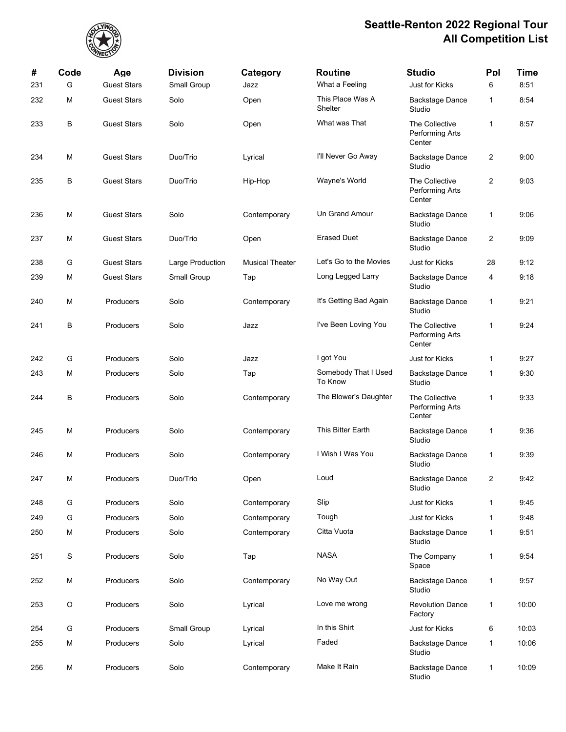

| #   | Code<br>G | Age<br><b>Guest Stars</b> | <b>Division</b>  | Category               | <b>Routine</b><br>What a Feeling | <b>Studio</b>                                      | Ppl            | <b>Time</b><br>8:51 |
|-----|-----------|---------------------------|------------------|------------------------|----------------------------------|----------------------------------------------------|----------------|---------------------|
| 231 |           |                           | Small Group      | Jazz                   |                                  | Just for Kicks                                     | 6              |                     |
| 232 | M         | <b>Guest Stars</b>        | Solo             | Open                   | This Place Was A<br>Shelter      | <b>Backstage Dance</b><br>Studio                   | 1              | 8:54                |
| 233 | В         | <b>Guest Stars</b>        | Solo             | Open                   | What was That                    | The Collective<br><b>Performing Arts</b><br>Center | $\mathbf{1}$   | 8:57                |
| 234 | M         | <b>Guest Stars</b>        | Duo/Trio         | Lyrical                | I'll Never Go Away               | <b>Backstage Dance</b><br>Studio                   | $\overline{c}$ | 9:00                |
| 235 | В         | <b>Guest Stars</b>        | Duo/Trio         | Hip-Hop                | Wayne's World                    | The Collective<br><b>Performing Arts</b><br>Center | $\overline{c}$ | 9:03                |
| 236 | M         | <b>Guest Stars</b>        | Solo             | Contemporary           | Un Grand Amour                   | <b>Backstage Dance</b><br>Studio                   | 1              | 9:06                |
| 237 | м         | <b>Guest Stars</b>        | Duo/Trio         | Open                   | <b>Erased Duet</b>               | <b>Backstage Dance</b><br>Studio                   | 2              | 9:09                |
| 238 | G         | <b>Guest Stars</b>        | Large Production | <b>Musical Theater</b> | Let's Go to the Movies           | <b>Just for Kicks</b>                              | 28             | 9:12                |
| 239 | М         | <b>Guest Stars</b>        | Small Group      | Tap                    | Long Legged Larry                | <b>Backstage Dance</b><br>Studio                   | 4              | 9:18                |
| 240 | М         | Producers                 | Solo             | Contemporary           | It's Getting Bad Again           | <b>Backstage Dance</b><br>Studio                   | 1              | 9:21                |
| 241 | В         | Producers                 | Solo             | Jazz                   | I've Been Loving You             | The Collective<br>Performing Arts<br>Center        | 1              | 9:24                |
| 242 | G         | Producers                 | Solo             | Jazz                   | I got You                        | Just for Kicks                                     | 1              | 9:27                |
| 243 | м         | Producers                 | Solo             | Tap                    | Somebody That I Used<br>To Know  | <b>Backstage Dance</b><br>Studio                   | 1              | 9:30                |
| 244 | В         | Producers                 | Solo             | Contemporary           | The Blower's Daughter            | The Collective<br>Performing Arts<br>Center        | 1              | 9:33                |
| 245 | M         | Producers                 | Solo             | Contemporary           | This Bitter Earth                | <b>Backstage Dance</b><br>Studio                   | 1              | 9:36                |
| 246 | M         | Producers                 | Solo             | Contemporary           | I Wish I Was You                 | <b>Backstage Dance</b><br>Studio                   | 1              | 9:39                |
| 247 | М         | Producers                 | Duo/Trio         | Open                   | Loud                             | Backstage Dance<br>Studio                          | 2              | 9:42                |
| 248 | G         | Producers                 | Solo             | Contemporary           | Slip                             | Just for Kicks                                     | 1              | 9:45                |
| 249 | G         | Producers                 | Solo             | Contemporary           | Tough                            | Just for Kicks                                     | 1              | 9:48                |
| 250 | М         | Producers                 | Solo             | Contemporary           | Citta Vuota                      | <b>Backstage Dance</b><br>Studio                   | 1              | 9:51                |
| 251 | S         | Producers                 | Solo             | Tap                    | <b>NASA</b>                      | The Company<br>Space                               | 1              | 9:54                |
| 252 | M         | Producers                 | Solo             | Contemporary           | No Way Out                       | <b>Backstage Dance</b><br>Studio                   | 1              | 9:57                |
| 253 | O         | Producers                 | Solo             | Lyrical                | Love me wrong                    | <b>Revolution Dance</b><br>Factory                 | $\mathbf{1}$   | 10:00               |
| 254 | G         | Producers                 | Small Group      | Lyrical                | In this Shirt                    | Just for Kicks                                     | 6              | 10:03               |
| 255 | М         | Producers                 | Solo             | Lyrical                | Faded                            | <b>Backstage Dance</b><br>Studio                   | 1              | 10:06               |
| 256 | М         | Producers                 | Solo             | Contemporary           | Make It Rain                     | Backstage Dance<br>Studio                          | 1              | 10:09               |